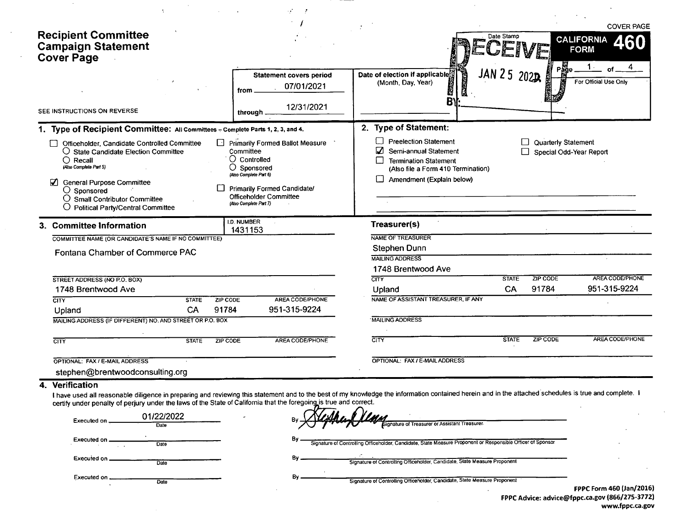|                                                                                                                                                                                                                                                                                                                                                |                                                                                                       |                                                                                                 |                                                                                                                                                               |              |                                                       | <b>COVER PAGE</b>                     |
|------------------------------------------------------------------------------------------------------------------------------------------------------------------------------------------------------------------------------------------------------------------------------------------------------------------------------------------------|-------------------------------------------------------------------------------------------------------|-------------------------------------------------------------------------------------------------|---------------------------------------------------------------------------------------------------------------------------------------------------------------|--------------|-------------------------------------------------------|---------------------------------------|
| <b>Recipient Committee</b><br><b>Campaign Statement</b><br><b>Cover Page</b>                                                                                                                                                                                                                                                                   |                                                                                                       |                                                                                                 |                                                                                                                                                               | Date Stamp   |                                                       | <b>CALIFORNIA</b><br><b>FORM</b><br>4 |
| SEE INSTRUCTIONS ON REVERSE                                                                                                                                                                                                                                                                                                                    | from<br>through                                                                                       | <b>Statement covers period</b><br>07/01/2021<br>12/31/2021                                      | Date of election if applicable<br><b>BENEVERE</b><br>(Month, Day, Year)<br>М<br><b>B</b>                                                                      | JAN 25 2022  |                                                       | <b>of</b><br>For Official Use Only    |
|                                                                                                                                                                                                                                                                                                                                                |                                                                                                       |                                                                                                 | 2. Type of Statement:                                                                                                                                         |              |                                                       |                                       |
| 1. Type of Recipient Committee: All Committees - Complete Parts 1, 2, 3, and 4.                                                                                                                                                                                                                                                                |                                                                                                       |                                                                                                 |                                                                                                                                                               |              |                                                       |                                       |
| Officeholder, Candidate Controlled Committee<br>○ State Candidate Election Committee<br>$\bigcap$ Recall<br>(Also Complete Part 5)<br><b>General Purpose Committee</b><br>$\bigcirc$ Sponsored<br>O Small Contributor Committee<br>O Political Party/Central Committee                                                                         | Committee<br>$\bigcirc$ Controlled<br>○ Sponsored<br>(Also Complete Part 6)<br>(Also Complete Part 7) | Primarily Formed Ballot Measure<br><b>Primarily Formed Candidate/</b><br>Officeholder Committee | <b>Preelection Statement</b><br>M<br>Semi-annual Statement<br><b>Termination Statement</b><br>(Also file a Form 410 Termination)<br>Amendment (Explain below) | $\Box$       | <b>Quarterly Statement</b><br>Special Odd-Year Report |                                       |
| 3. Committee Information                                                                                                                                                                                                                                                                                                                       | I.D. NUMBER<br>1431153                                                                                |                                                                                                 | Treasurer(s)                                                                                                                                                  |              |                                                       |                                       |
| COMMITTEE NAME (OR CANDIDATE'S NAME IF NO COMMITTEE)                                                                                                                                                                                                                                                                                           |                                                                                                       |                                                                                                 | NAME OF TREASURER                                                                                                                                             |              |                                                       |                                       |
| Fontana Chamber of Commerce PAC                                                                                                                                                                                                                                                                                                                |                                                                                                       |                                                                                                 | Stephen Dunn<br><b>MAILING ADDRESS</b><br>1748 Brentwood Ave                                                                                                  |              |                                                       |                                       |
| STREET ADDRESS (NO P.O. BOX)                                                                                                                                                                                                                                                                                                                   |                                                                                                       |                                                                                                 | $\overline{\text{CITY}}$                                                                                                                                      | <b>STATE</b> | <b>ZIP CODE</b>                                       | AREA CODE/PHONE                       |
| 1748 Brentwood Ave                                                                                                                                                                                                                                                                                                                             |                                                                                                       |                                                                                                 | Upland                                                                                                                                                        | CA           | 91784                                                 | 951-315-9224                          |
| CITY<br><b>STATE</b>                                                                                                                                                                                                                                                                                                                           | ZIP CODE                                                                                              | AREA CODE/PHONE                                                                                 | NAME OF ASSISTANT TREASURER, IF ANY                                                                                                                           |              |                                                       |                                       |
| CA<br>Upland                                                                                                                                                                                                                                                                                                                                   | 91784                                                                                                 | 951-315-9224                                                                                    |                                                                                                                                                               |              |                                                       |                                       |
| MAILING ADDRESS (IF DIFFERENT) NO. AND STREET OR P.O. BOX                                                                                                                                                                                                                                                                                      |                                                                                                       |                                                                                                 | <b>MAILING ADDRESS</b>                                                                                                                                        |              |                                                       |                                       |
| <b>STATE</b><br>$\overline{\text{CITY}}$                                                                                                                                                                                                                                                                                                       | ZIP CODE                                                                                              | AREA CODE/PHONE                                                                                 | CITY                                                                                                                                                          | <b>STATE</b> | ZIP CODE                                              | AREA CODE/PHONE                       |
| OPTIONAL: FAX / E-MAIL ADDRESS                                                                                                                                                                                                                                                                                                                 |                                                                                                       |                                                                                                 | OPTIONAL: FAX / E-MAIL ADDRESS                                                                                                                                |              |                                                       |                                       |
| stephen@brentwoodconsulting.org                                                                                                                                                                                                                                                                                                                |                                                                                                       |                                                                                                 |                                                                                                                                                               |              |                                                       |                                       |
|                                                                                                                                                                                                                                                                                                                                                |                                                                                                       |                                                                                                 |                                                                                                                                                               |              |                                                       |                                       |
| 4. Verification<br>I have used all reasonable diligence in preparing and reviewing this statement and to the best of my knowledge the information contained herein and in the attached schedules is true and complete. I<br>certify under penalty of perjury under the laws of the State of California that the foregoing is true and correct. |                                                                                                       |                                                                                                 |                                                                                                                                                               |              |                                                       |                                       |
| 01/22/2022<br>Executed on.<br>Date                                                                                                                                                                                                                                                                                                             |                                                                                                       |                                                                                                 | Signature of Treasurer or Assistant Treasurer                                                                                                                 |              |                                                       |                                       |

By.

 $By -$ 

 $By -$ Signature of Controlling Officeholder, Candidate, State Measure Proponent or Responsible Officer of Sponsor

Executed on. Date

Date

Executed on ... Date  $\ddot{\phantom{1}}$ 

**Executed on** 

Signature of Controlling Officeholder, Candidate, State Measure Proponent

Signature of Controlling Officeholder, Candidate, State Measure Proponent

FPPC Form 460 (Jan/2016) FPPC Advice: advice@fppc.ca.gov (866/275-3772) www.fppc.ca.gov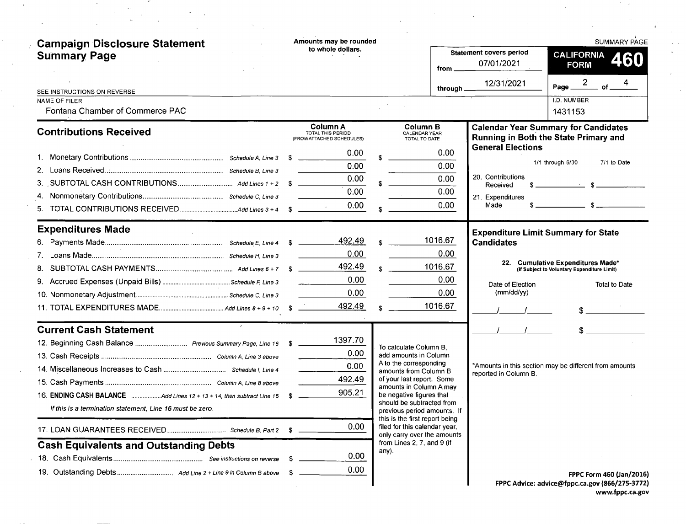| <b>Campaign Disclosure Statement</b>                                  | Amounts may be rounded<br>to whole dollars.                |                                                               |                                       | <b>SUMMARY PAGE</b>                                                                  |
|-----------------------------------------------------------------------|------------------------------------------------------------|---------------------------------------------------------------|---------------------------------------|--------------------------------------------------------------------------------------|
| <b>Summary Page</b>                                                   |                                                            | from                                                          | Statement covers period<br>07/01/2021 | <b>CALIFORNIA</b><br>460<br><b>FORM</b>                                              |
| SEE INSTRUCTIONS ON REVERSE                                           |                                                            | through.                                                      | 12/31/2021                            | Page $\frac{2}{\sqrt{2}}$<br>$\overline{\phantom{a}}$ of $\overline{\phantom{a}}$    |
| <b>NAME OF FILER</b><br>Fontana Chamber of Commerce PAC               |                                                            |                                                               |                                       | I.D. NUMBER<br>1431153                                                               |
| <b>Contributions Received</b>                                         | Column A<br>TOTAL THIS PERIOD<br>(FROM ATTACHED SCHEDULES) | Column B<br>CALENDAR YEAR<br>TOTAL TO DATE                    |                                       | <b>Calendar Year Summary for Candidates</b><br>Running in Both the State Primary and |
|                                                                       | 0.00                                                       | 0.00                                                          | <b>General Elections</b>              |                                                                                      |
|                                                                       | 0.00                                                       | 0.00                                                          |                                       | 1/1 through 6/30<br>7/1 to Date                                                      |
|                                                                       | 0.00                                                       | 0.00                                                          | 20. Contributions<br>Received         | $s$ $s$                                                                              |
|                                                                       | 0.00                                                       | 0.00                                                          | 21. Expenditures                      |                                                                                      |
|                                                                       | 0.00                                                       | 0.00                                                          | Made                                  |                                                                                      |
| <b>Expenditures Made</b>                                              |                                                            |                                                               |                                       | <b>Expenditure Limit Summary for State</b>                                           |
|                                                                       | 492.49                                                     | 1016.67                                                       | <b>Candidates</b>                     |                                                                                      |
|                                                                       | 0.00                                                       | 0.00                                                          |                                       | 22. Cumulative Expenditures Made*                                                    |
|                                                                       | 492.49                                                     | 1016.67                                                       |                                       | (If Subject to Voluntary Expenditure Limit)                                          |
|                                                                       | 0.00                                                       | 0.00                                                          | Date of Election                      | <b>Total to Date</b>                                                                 |
|                                                                       | 0.00                                                       | 0.00                                                          | (mm/dd/yy)                            |                                                                                      |
|                                                                       | 492.49                                                     | 1016.67                                                       |                                       |                                                                                      |
| <b>Current Cash Statement</b>                                         |                                                            |                                                               |                                       |                                                                                      |
| 12. Beginning Cash Balance  Previous Summary Page, Line 16 \$         | 1397.70                                                    | To calculate Column B.                                        |                                       |                                                                                      |
|                                                                       | 0.00                                                       | add amounts in Column<br>A to the corresponding               |                                       |                                                                                      |
|                                                                       | 0.00                                                       | amounts from Column B                                         | reported in Column B.                 | *Amounts in this section may be different from amounts                               |
|                                                                       | 492.49                                                     | of your last report. Some<br>amounts in Column A may          |                                       |                                                                                      |
| 16. ENDING CASH BALANCE Add Lines 12 + 13 + 14, then subtract Line 15 | 905.21<br>- 56                                             | be negative figures that<br>should be subtracted from         |                                       |                                                                                      |
| If this is a termination statement. Line 16 must be zero.             |                                                            | previous period amounts. If<br>this is the first report being |                                       |                                                                                      |
|                                                                       | 0.00                                                       | filed for this calendar year,<br>only carry over the amounts  |                                       |                                                                                      |
| <b>Cash Equivalents and Outstanding Debts</b>                         |                                                            | from Lines 2, 7, and 9 (if<br>any).                           |                                       |                                                                                      |
|                                                                       | 0.00<br>S                                                  |                                                               |                                       |                                                                                      |
|                                                                       | 0.00<br>-SG                                                |                                                               |                                       | FPPC Form 460 (Jan/2016)                                                             |
|                                                                       |                                                            |                                                               |                                       | FPPC Advice: advice@fppc.ca.gov (866/275-3772)                                       |

 $\bar{\gamma}$ 

 $\bar{\epsilon}$ 

 $\bar{z}$ 

 $\sim$  10

 $\sim$  100  $\sim$ 

FPPC Advice: advice@fppc. ca. gov (866/ 275- 3772) www.fppc.ca.gov

 $\mathcal{I}=\mathcal{A}$ 

 $\ddot{\theta}$ 

 $\sim$ 

 $\lambda$ 

 $\mathcal{A}$ 

 $\beta \rightarrow \gamma$  $\sim$ 

 $\sim$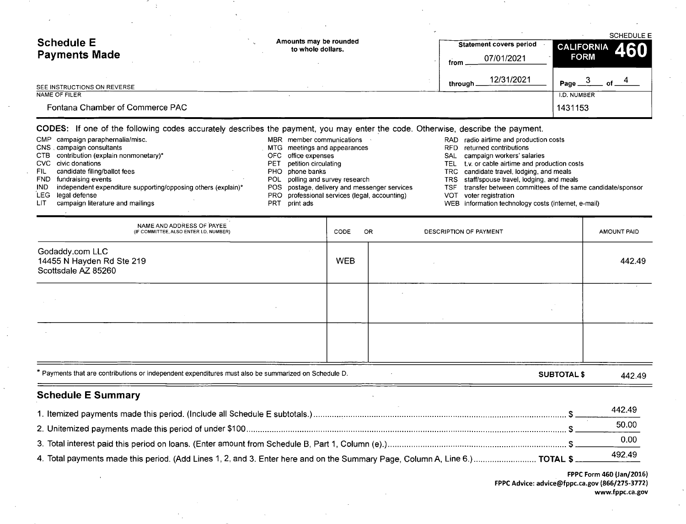| <b>Schedule E</b><br><b>Payments Made</b> | Amounts may be rounded<br>to whole dollars. | <b>Statement covers period</b><br>07/01/2021<br>from . | <b>SCHEDULE E</b><br><b>CALIFORNIA</b><br>460<br><b>FORM</b> |
|-------------------------------------------|---------------------------------------------|--------------------------------------------------------|--------------------------------------------------------------|
| SEE INSTRUCTIONS ON REVERSE               |                                             | 12/31/2021<br>through                                  | Page.<br>∩f                                                  |
| NAME OF FILER                             |                                             |                                                        | I.D. NUMBER                                                  |
| Fontana Chamber of Commerce PAC           |                                             |                                                        | 1431153                                                      |

CODES: If one of the following codes accurately describes the payment, you may enter the code. Otherwise, describe the payment.

CMP - campaign paraphernalia/misc. CNS . campaign consultant CTB  $\,$  contribution (explain nonmonetary CVC civic donation FIL candidate filing/ballot fees FND fundraising events IND LEG legal defense independent expenditure supporting/opposing others (explain)\* MBR member communications MTG meetings and appearance OFC office expense PET petition circulating PHO phone banks POL polling and survey researd POS postage, delivery and messenger services

÷.

PRO professional services ( legal, accounting) PRT print ads

LIT campaign literature and mailings

- RFD returned contribution SAL campaign workers' salarie
- TEL t.v. or cable airtime and production costs
- TRC candidate travel, lodging, and meals

RAD radio airtime and production costs

- TRS staff/spouse travel, lodging, and meal
- TSF transfer between committees of the same candidate/sponsor
- VOT voter registratio
- WEB information technology costs (internet, e-mail)

| <b>Schedule E Summary</b><br>1 Itemized payments made this neriod (Include all Schedule E subtotals) |            |                        | ¢                  | 442.49      |
|------------------------------------------------------------------------------------------------------|------------|------------------------|--------------------|-------------|
| * Payments that are contributions or independent expenditures must also be summarized on Schedule D. |            |                        | <b>SUBTOTAL \$</b> | 442.49      |
|                                                                                                      |            |                        |                    |             |
|                                                                                                      |            |                        |                    |             |
|                                                                                                      |            |                        |                    |             |
| Scottsdale AZ 85260                                                                                  |            |                        |                    |             |
| Godaddy.com LLC<br>14455 N Hayden Rd Ste 219                                                         | <b>WEB</b> |                        |                    | 442.49      |
| NAME AND ADDRESS OF PAYEE<br>(IF COMMITTEE, ALSO ENTER I.D. NUMBER)                                  | OR<br>CODE | DESCRIPTION OF PAYMENT |                    | AMOUNT PAID |

|                                                                                                                                    | 772.TJ |
|------------------------------------------------------------------------------------------------------------------------------------|--------|
|                                                                                                                                    | 50.00  |
|                                                                                                                                    | 0.00   |
| 492.49 4. Total payments made this period. (Add Lines 1, 2, and 3. Enter here and on the Summary Page, Column A, Line 6.) TOTAL \$ | 492.49 |

FPPC Form 460 (Jan/2016) FPPC Advice: advice@fppc.ca.gov (866/275-3772) www.fppc.ca.gov